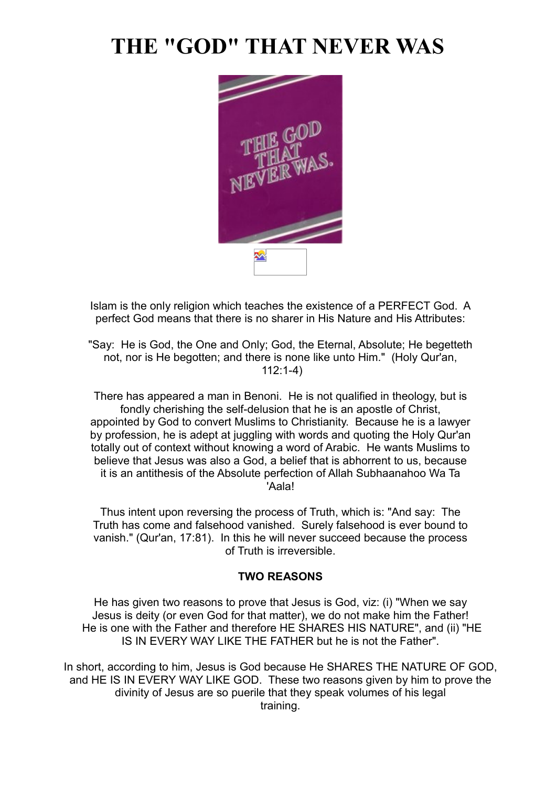# **THE "GOD" THAT NEVER WAS**



Islam is the only religion which teaches the existence of a PERFECT God. A perfect God means that there is no sharer in His Nature and His Attributes:

"Say: He is God, the One and Only; God, the Eternal, Absolute; He begetteth not, nor is He begotten; and there is none like unto Him." (Holy Qur'an, 112:1-4)

There has appeared a man in Benoni. He is not qualified in theology, but is fondly cherishing the self-delusion that he is an apostle of Christ, appointed by God to convert Muslims to Christianity. Because he is a lawyer by profession, he is adept at juggling with words and quoting the Holy Qur'an totally out of context without knowing a word of Arabic. He wants Muslims to believe that Jesus was also a God, a belief that is abhorrent to us, because it is an antithesis of the Absolute perfection of Allah Subhaanahoo Wa Ta 'Aala!

Thus intent upon reversing the process of Truth, which is: "And say: The Truth has come and falsehood vanished. Surely falsehood is ever bound to vanish." (Qur'an, 17:81). In this he will never succeed because the process of Truth is irreversible.

#### **TWO REASONS**

He has given two reasons to prove that Jesus is God, viz: (i) "When we say Jesus is deity (or even God for that matter), we do not make him the Father! He is one with the Father and therefore HE SHARES HIS NATURE", and (ii) "HE IS IN EVERY WAY LIKE THE FATHER but he is not the Father".

In short, according to him, Jesus is God because He SHARES THE NATURE OF GOD. and HE IS IN EVERY WAY LIKE GOD. These two reasons given by him to prove the divinity of Jesus are so puerile that they speak volumes of his legal training.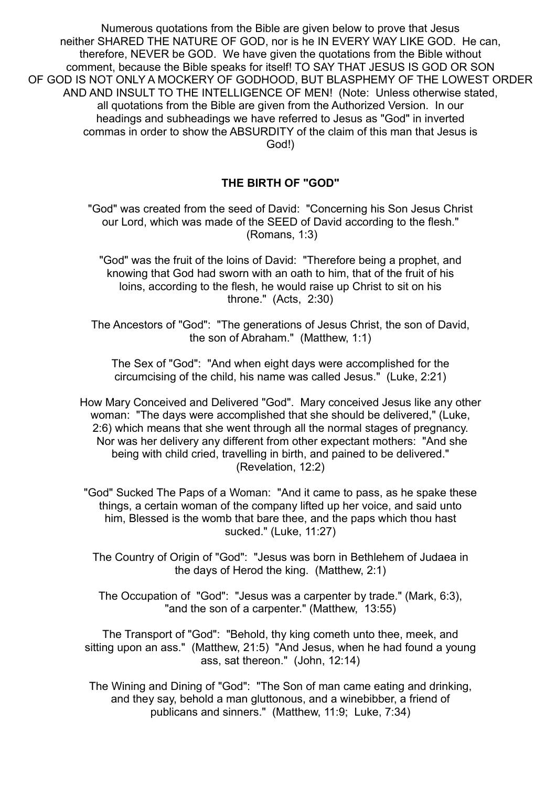Numerous quotations from the Bible are given below to prove that Jesus neither SHARED THE NATURE OF GOD, nor is he IN EVERY WAY LIKE GOD. He can, therefore, NEVER be GOD. We have given the quotations from the Bible without comment, because the Bible speaks for itself! TO SAY THAT JESUS IS GOD OR SON OF GOD IS NOT ONLY A MOCKERY OF GODHOOD, BUT BLASPHEMY OF THE LOWEST ORDER AND AND INSULT TO THE INTELLIGENCE OF MEN! (Note: Unless otherwise stated, all quotations from the Bible are given from the Authorized Version. In our headings and subheadings we have referred to Jesus as "God" in inverted commas in order to show the ABSURDITY of the claim of this man that Jesus is God!)

## **THE BIRTH OF "GOD"**

"God" was created from the seed of David: "Concerning his Son Jesus Christ our Lord, which was made of the SEED of David according to the flesh." (Romans, 1:3)

"God" was the fruit of the loins of David: "Therefore being a prophet, and knowing that God had sworn with an oath to him, that of the fruit of his loins, according to the flesh, he would raise up Christ to sit on his throne." (Acts, 2:30)

The Ancestors of "God": "The generations of Jesus Christ, the son of David, the son of Abraham." (Matthew, 1:1)

The Sex of "God": "And when eight days were accomplished for the circumcising of the child, his name was called Jesus." (Luke, 2:21)

How Mary Conceived and Delivered "God". Mary conceived Jesus like any other woman: "The days were accomplished that she should be delivered," (Luke, 2:6) which means that she went through all the normal stages of pregnancy. Nor was her delivery any different from other expectant mothers: "And she being with child cried, travelling in birth, and pained to be delivered." (Revelation, 12:2)

"God" Sucked The Paps of a Woman: "And it came to pass, as he spake these things, a certain woman of the company lifted up her voice, and said unto him, Blessed is the womb that bare thee, and the paps which thou hast sucked." (Luke, 11:27)

The Country of Origin of "God": "Jesus was born in Bethlehem of Judaea in the days of Herod the king. (Matthew, 2:1)

The Occupation of "God": "Jesus was a carpenter by trade." (Mark, 6:3), "and the son of a carpenter." (Matthew, 13:55)

The Transport of "God": "Behold, thy king cometh unto thee, meek, and sitting upon an ass." (Matthew, 21:5) "And Jesus, when he had found a young ass, sat thereon." (John, 12:14)

The Wining and Dining of "God": "The Son of man came eating and drinking, and they say, behold a man gluttonous, and a winebibber, a friend of publicans and sinners." (Matthew, 11:9; Luke, 7:34)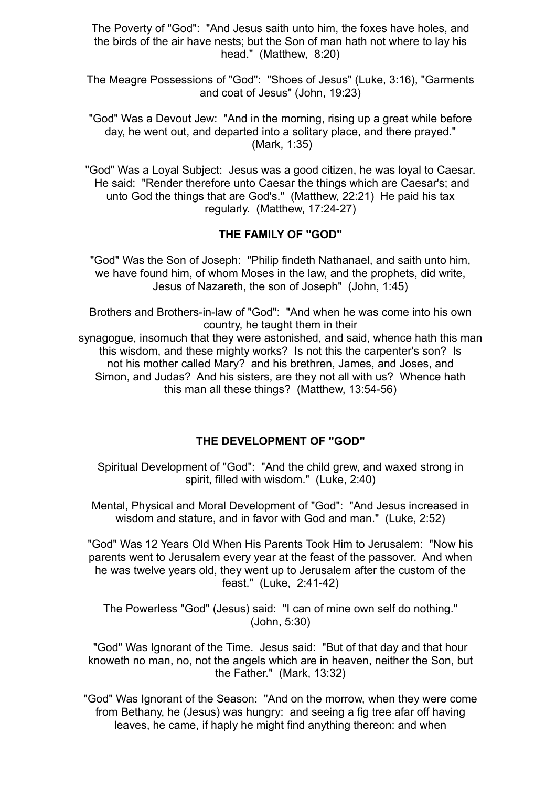The Poverty of "God": "And Jesus saith unto him, the foxes have holes, and the birds of the air have nests; but the Son of man hath not where to lay his head." (Matthew, 8:20)

The Meagre Possessions of "God": "Shoes of Jesus" (Luke, 3:16), "Garments and coat of Jesus" (John, 19:23)

"God" Was a Devout Jew: "And in the morning, rising up a great while before day, he went out, and departed into a solitary place, and there prayed." (Mark, 1:35)

"God" Was a Loyal Subject: Jesus was a good citizen, he was loyal to Caesar. He said: "Render therefore unto Caesar the things which are Caesar's; and unto God the things that are God's." (Matthew, 22:21) He paid his tax regularly. (Matthew, 17:24-27)

#### **THE FAMILY OF "GOD"**

"God" Was the Son of Joseph: "Philip findeth Nathanael, and saith unto him, we have found him, of whom Moses in the law, and the prophets, did write, Jesus of Nazareth, the son of Joseph" (John, 1:45)

Brothers and Brothers-in-law of "God": "And when he was come into his own country, he taught them in their

synagogue, insomuch that they were astonished, and said, whence hath this man this wisdom, and these mighty works? Is not this the carpenter's son? Is not his mother called Mary? and his brethren, James, and Joses, and Simon, and Judas? And his sisters, are they not all with us? Whence hath this man all these things? (Matthew, 13:54-56)

#### **THE DEVELOPMENT OF "GOD"**

Spiritual Development of "God": "And the child grew, and waxed strong in spirit, filled with wisdom." (Luke, 2:40)

Mental, Physical and Moral Development of "God": "And Jesus increased in wisdom and stature, and in favor with God and man." (Luke, 2:52)

"God" Was 12 Years Old When His Parents Took Him to Jerusalem: "Now his parents went to Jerusalem every year at the feast of the passover. And when he was twelve years old, they went up to Jerusalem after the custom of the feast." (Luke, 2:41-42)

The Powerless "God" (Jesus) said: "I can of mine own self do nothing." (John, 5:30)

"God" Was Ignorant of the Time. Jesus said: "But of that day and that hour knoweth no man, no, not the angels which are in heaven, neither the Son, but the Father." (Mark, 13:32)

"God" Was Ignorant of the Season: "And on the morrow, when they were come from Bethany, he (Jesus) was hungry: and seeing a fig tree afar off having leaves, he came, if haply he might find anything thereon: and when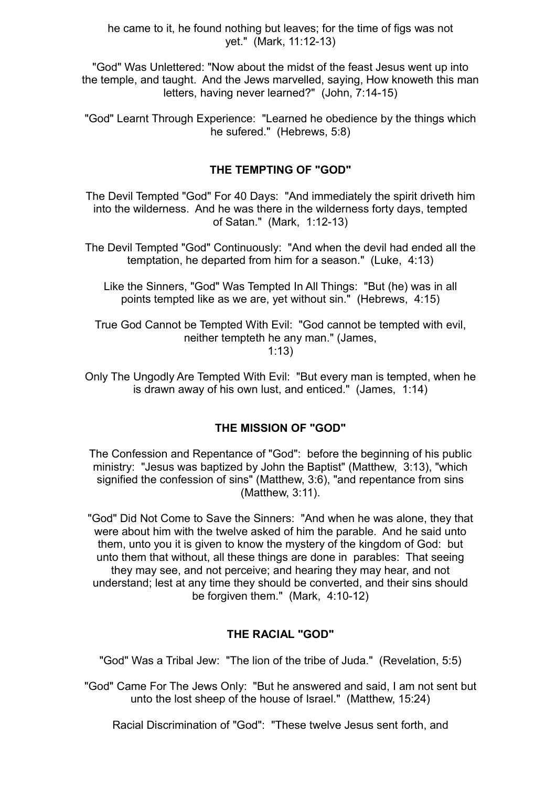he came to it, he found nothing but leaves; for the time of figs was not yet." (Mark, 11:12-13)

"God" Was Unlettered: "Now about the midst of the feast Jesus went up into the temple, and taught. And the Jews marvelled, saying, How knoweth this man letters, having never learned?" (John, 7:14-15)

"God" Learnt Through Experience: "Learned he obedience by the things which he sufered." (Hebrews, 5:8)

## **THE TEMPTING OF "GOD"**

The Devil Tempted "God" For 40 Days: "And immediately the spirit driveth him into the wilderness. And he was there in the wilderness forty days, tempted of Satan." (Mark, 1:12-13)

The Devil Tempted "God" Continuously: "And when the devil had ended all the temptation, he departed from him for a season." (Luke, 4:13)

Like the Sinners, "God" Was Tempted In All Things: "But (he) was in all points tempted like as we are, yet without sin." (Hebrews, 4:15)

True God Cannot be Tempted With Evil: "God cannot be tempted with evil, neither tempteth he any man." (James, 1:13)

Only The Ungodly Are Tempted With Evil: "But every man is tempted, when he is drawn away of his own lust, and enticed." (James, 1:14)

## **THE MISSION OF "GOD"**

The Confession and Repentance of "God": before the beginning of his public ministry: "Jesus was baptized by John the Baptist" (Matthew, 3:13), "which signified the confession of sins" (Matthew, 3:6), "and repentance from sins (Matthew, 3:11).

"God" Did Not Come to Save the Sinners: "And when he was alone, they that were about him with the twelve asked of him the parable. And he said unto them, unto you it is given to know the mystery of the kingdom of God: but unto them that without, all these things are done in parables: That seeing they may see, and not perceive; and hearing they may hear, and not understand; lest at any time they should be converted, and their sins should be forgiven them." (Mark, 4:10-12)

## **THE RACIAL "GOD"**

"God" Was a Tribal Jew: "The lion of the tribe of Juda." (Revelation, 5:5)

"God" Came For The Jews Only: "But he answered and said, I am not sent but unto the lost sheep of the house of Israel." (Matthew, 15:24)

Racial Discrimination of "God": "These twelve Jesus sent forth, and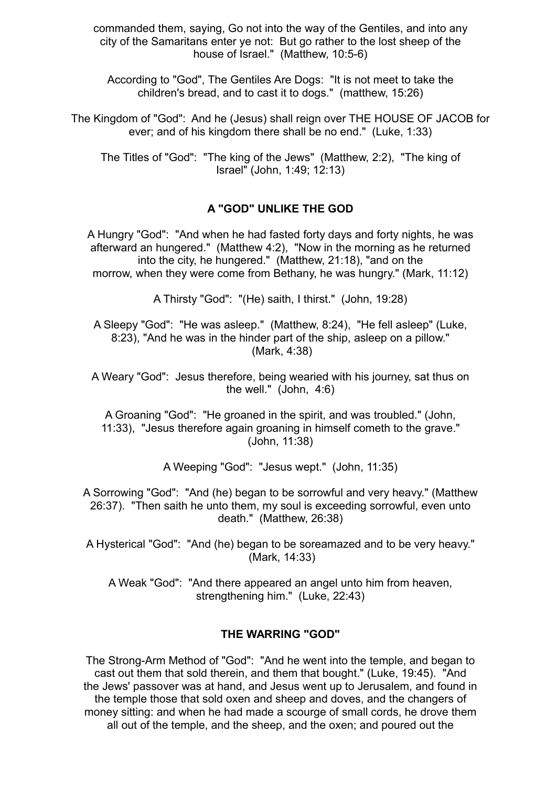commanded them, saying, Go not into the way of the Gentiles, and into any city of the Samaritans enter ye not: But go rather to the lost sheep of the house of Israel." (Matthew, 10:5-6)

According to "God", The Gentiles Are Dogs: "It is not meet to take the children's bread, and to cast it to dogs." (matthew, 15:26)

The Kingdom of "God": And he (Jesus) shall reign over THE HOUSE OF JACOB for ever; and of his kingdom there shall be no end." (Luke, 1:33)

The Titles of "God": "The king of the Jews" (Matthew, 2:2), "The king of Israel" (John, 1:49; 12:13)

#### **A "GOD" UNLIKE THE GOD**

A Hungry "God": "And when he had fasted forty days and forty nights, he was afterward an hungered." (Matthew 4:2), "Now in the morning as he returned into the city, he hungered." (Matthew, 21:18), "and on the morrow, when they were come from Bethany, he was hungry." (Mark, 11:12)

A Thirsty "God": "(He) saith, I thirst." (John, 19:28)

A Sleepy "God": "He was asleep." (Matthew, 8:24), "He fell asleep" (Luke, 8:23), "And he was in the hinder part of the ship, asleep on a pillow." (Mark, 4:38)

A Weary "God": Jesus therefore, being wearied with his journey, sat thus on the well." (John, 4:6)

A Groaning "God": "He groaned in the spirit, and was troubled." (John, 11:33), "Jesus therefore again groaning in himself cometh to the grave." (John, 11:38)

A Weeping "God": "Jesus wept." (John, 11:35)

A Sorrowing "God": "And (he) began to be sorrowful and very heavy." (Matthew 26:37). "Then saith he unto them, my soul is exceeding sorrowful, even unto death." (Matthew, 26:38)

A Hysterical "God": "And (he) began to be soreamazed and to be very heavy." (Mark, 14:33)

A Weak "God": "And there appeared an angel unto him from heaven, strengthening him." (Luke, 22:43)

#### **THE WARRING "GOD"**

The Strong-Arm Method of "God": "And he went into the temple, and began to cast out them that sold therein, and them that bought." (Luke, 19:45). "And the Jews' passover was at hand, and Jesus went up to Jerusalem, and found in the temple those that sold oxen and sheep and doves, and the changers of money sitting: and when he had made a scourge of small cords, he drove them all out of the temple, and the sheep, and the oxen; and poured out the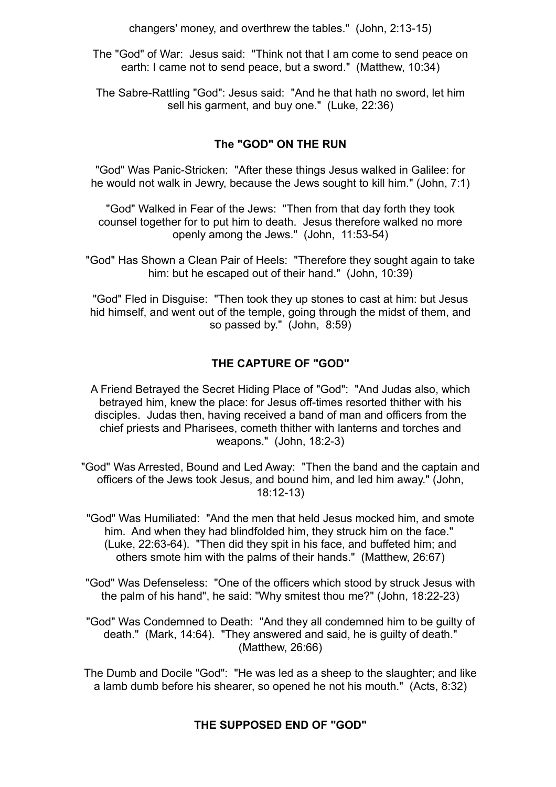changers' money, and overthrew the tables." (John, 2:13-15)

The "God" of War: Jesus said: "Think not that I am come to send peace on earth: I came not to send peace, but a sword." (Matthew, 10:34)

The Sabre-Rattling "God": Jesus said: "And he that hath no sword, let him sell his garment, and buy one." (Luke, 22:36)

## **The "GOD" ON THE RUN**

"God" Was Panic-Stricken: "After these things Jesus walked in Galilee: for he would not walk in Jewry, because the Jews sought to kill him." (John, 7:1)

"God" Walked in Fear of the Jews: "Then from that day forth they took counsel together for to put him to death. Jesus therefore walked no more openly among the Jews." (John, 11:53-54)

"God" Has Shown a Clean Pair of Heels: "Therefore they sought again to take him: but he escaped out of their hand." (John, 10:39)

"God" Fled in Disguise: "Then took they up stones to cast at him: but Jesus hid himself, and went out of the temple, going through the midst of them, and so passed by." (John, 8:59)

## **THE CAPTURE OF "GOD"**

- A Friend Betrayed the Secret Hiding Place of "God": "And Judas also, which betrayed him, knew the place: for Jesus off-times resorted thither with his disciples. Judas then, having received a band of man and officers from the chief priests and Pharisees, cometh thither with lanterns and torches and weapons." (John, 18:2-3)
- "God" Was Arrested, Bound and Led Away: "Then the band and the captain and officers of the Jews took Jesus, and bound him, and led him away." (John, 18:12-13)
- "God" Was Humiliated: "And the men that held Jesus mocked him, and smote him. And when they had blindfolded him, they struck him on the face." (Luke, 22:63-64). "Then did they spit in his face, and buffeted him; and others smote him with the palms of their hands." (Matthew, 26:67)
- "God" Was Defenseless: "One of the officers which stood by struck Jesus with the palm of his hand", he said: "Why smitest thou me?" (John, 18:22-23)
- "God" Was Condemned to Death: "And they all condemned him to be guilty of death." (Mark, 14:64). "They answered and said, he is guilty of death." (Matthew, 26:66)

The Dumb and Docile "God": "He was led as a sheep to the slaughter; and like a lamb dumb before his shearer, so opened he not his mouth." (Acts, 8:32)

## **THE SUPPOSED END OF "GOD"**